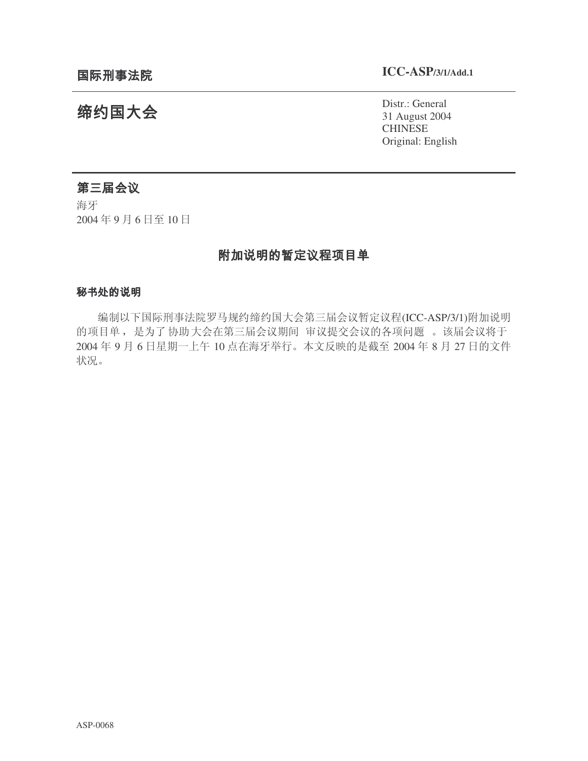# 缔约国大会

Distr.: General 31 August 2004 CHINESE Original: English

# 第三届会议

海牙 2004年9月6日至10日

# 附加说明的暂定议程项目单

# 秘书处的说明

编制以下国际刑事法院罗马规约缔约国大会第三届会议暂定议程(ICC-ASP/3/1)附加说明 的项目单, 是为了协助大会在第三届会议期间 审议提交会议的各项问题 。该届会议将于 2004年9月6日星期一上午10点在海牙举行。本文反映的是截至2004年8月27日的文件 状况。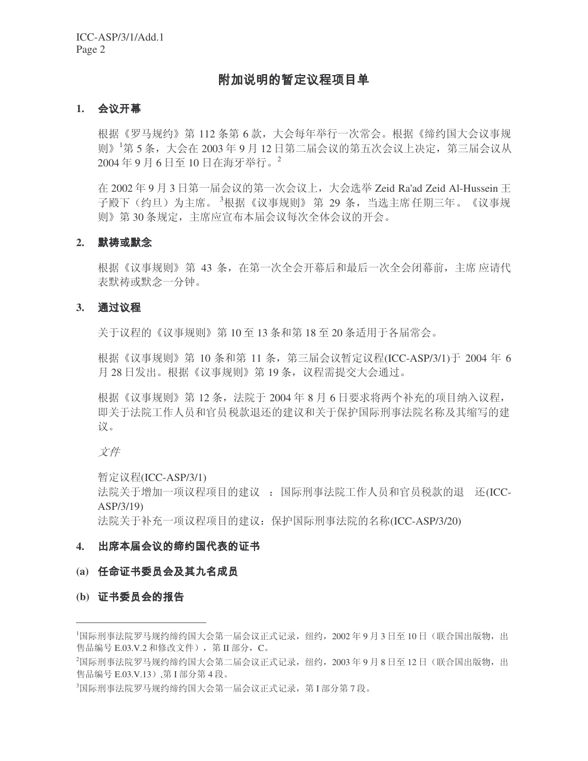# 附加说明的暂定议程项目单

## **1.**

根据《罗马规约》第112 条第 6 款, 大会每年举行一次常会。根据《缔约国大会议事规 则》<sup>1</sup>第5条,大会在2003年9月12日第二届会议的第五次会议上决定,第三届会议从 2004年9月6日至10日在海牙举行。

在 2002年9月3日第一届会议的第一次会议上, 大会选举 Zeid Ra'ad Zeid Al-Hussein 王 子殿下(约旦)为主席。<sup>3</sup>根据《议事规则》第 29 条,当选主席任期三年。《议事规 则》第30条规定,主席应宣布本届会议每次全体会议的开会。

#### **2.** 默祷或默念

根据《议事规则》第 43 条, 在第一次全会开幕后和最后一次全会闭幕前, 主席 应请代 表默祷或默念一分钟。

#### **3.**

关于议程的《议事规则》第10至13条和第18至20条适用于各届常会。

根据《议事规则》第 10 条和第 11 条,第三届会议暂定议程(ICC-ASP/3/1)于 2004 年 6 月28 日发出。根据《议事规则》第19条, 议程需提交大会通过。

根据《议事规则》第12条,法院于 2004 年 8 月 6 日要求将两个补充的项目纳入议程, 即关于法院工作人员和官员税款退还的建议和关于保护国际刑事法院名称及其缩写的建 议。

#### 文件

暂定议程(ICC-ASP/3/1) 法院关于增加一项议程项目的建议: 国际刑事法院工作人员和官员税款的退 还(ICC-ASP/3/19) 法院关于补充一项议程项目的建议: 保护国际刑事法院的名称(ICC-ASP/3/20)

#### 出席本届会议的缔约国代表的证书 **4.**

# **(a)**

**(b)**

<sup>1</sup>国际刑事法院罗马规约缔约国大会第一届会议正式记录, 纽约, 2002年9月3日至10日(联合国出版物, 出 售品编号 E.03.V.2 和修改文件), 第 II 部分, C。

<sup>&</sup>lt;sup>2</sup>国际刑事法院罗马规约缔约国大会第二届会议正式记录, 纽约, 2003年9月8日至12日(联合国出版物, 出 售品编号 E.03.V.13), 第 I 部分第 4段。

<sup>3</sup>国际刑事法院罗马规约缔约国大会第一届会议正式记录,第I部分第7段。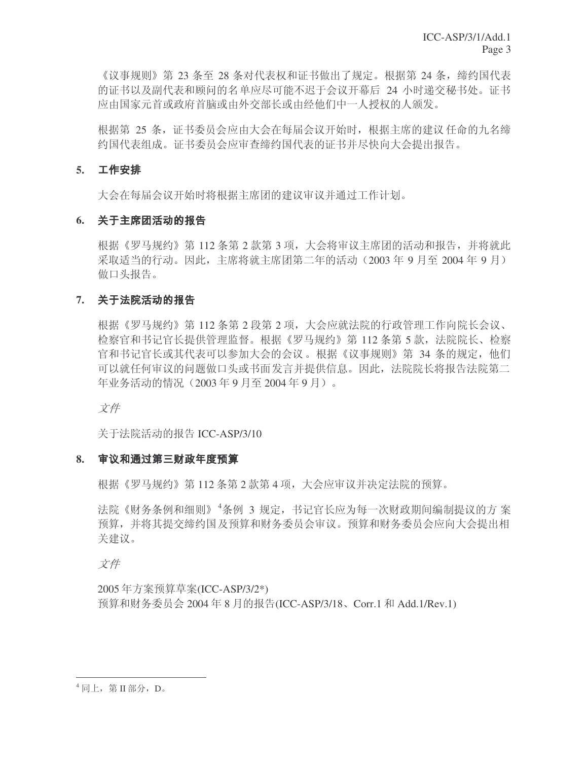《议事规则》第23 条至 28 条对代表权和证书做出了规定。根据第24 条, 缔约国代表 的证书以及副代表和顾问的名单应尽可能不迟于会议开幕后 24 小时递交秘书处。证书 应由国家元首或政府首脑或由外交部长或由经他们中一人授权的人颁发。

根据第 25 条,证书委员会应由大会在每届会议开始时,根据主席的建议 任命的九名缔 约国代表组成。证书委员会应审查缔约国代表的证书并尽快向大会提出报告。

# **5.**

大会在每届会议开始时将根据主席团的建议审议并通过工作计划。

# **6.**

根据《罗马规约》第112 条第 2 款第 3 项, 大会将审议主席团的活动和报告, 并将就此  $\overline{R}$ 取话当的行动。因此,主席将就主席团第二年的活动(2003年9月至2004年9月) 做口头报告。

# **7.**

根据《罗马规约》第112 条第 2 段第 2 项, 大会应就法院的行政管理工作向院长会议、 检察官和书记官长提供管理监督。根据《罗马规约》第112条第5款,法院院长、检察 官和书记官长或其代表可以参加大会的会议。根据《议事规则》第 34 条的规定, 他们 可以就任何审议的问题做口头或书面发言并提供信息。因此,法院院长将报告法院第二 年业务活动的情况 (2003年9月至2004年9月)。

文件

关于法院活动的报告 ICC-ASP/3/10

#### 审议和通过第三财政年度预算 **8.**

根据《罗马规约》第112 条第 2 款第 4 项, 大会应审议并决定法院的预算。

法院《财务条例和细则》 "条例 3 规定,书记官长应为每一次财政期间编制提议的方 案 预算,并将其提交缔约国及预算和财务委员会审议。预算和财务委员会应向大会提出相 关建议。

文件

2005年方案预算草案(ICC-ASP/3/2\*) 预算和财务委员会 2004年8月的报告(ICC-ASP/3/18、Corr.1 和 Add.1/Rev.1)

 $4$ 同上, 第Ⅱ部分, D。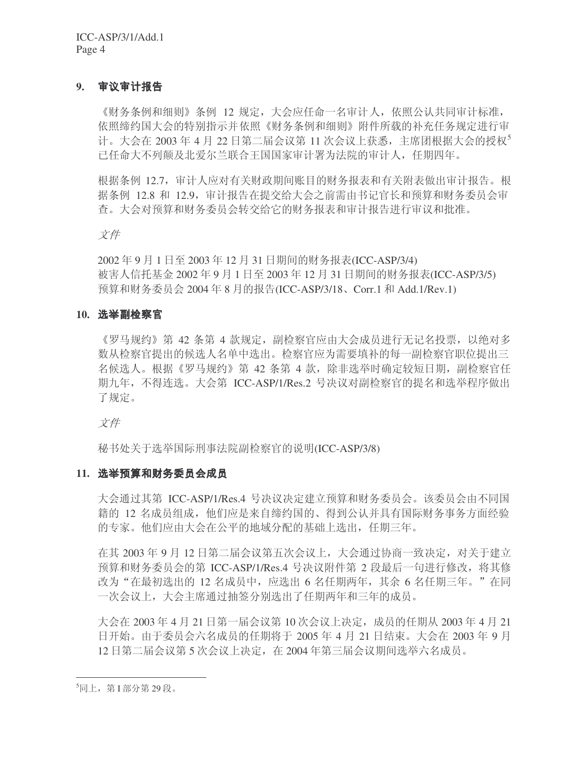# **9.**

《财务条例和细则》条例 12 规定,大会应任命一名审计人,依照公认共同审计标准, 依照缔约国大会的特别指示并依照《财务条例和细则》附件所载的补充任务规定进行审 计。大会在 2003 年 4 月 22 日第二届会议第 11 次会议上获悉,主席团根据大会的授权<sup>5</sup> 己任命大不列颠及北爱尔兰联合王国国家审计署为法院的审计人,任期四年。

根据条例 12.7, 审计人应对有关财政期间账目的财务报表和有关附表做出审计报告。根 据条例 12.8 和 12.9, 审计报告在提交给大会之前需由书记官长和预算和财务委员会审 查。大会对预算和财务委员会转交给它的财务报表和审计报告进行审议和批准。

文件

2002年9月1日至2003年12月31日期间的财务报表(ICC-ASP/3/4) 被害人信托基金 2002年9月1日至 2003年12月31日期间的财务报表(ICC-ASP/3/5) 预算和财务委员会 2004 年 8 月的报告(ICC-ASP/3/18、Corr.1 和 Add.1/Rev.1)

# **10.**

《罗马规约》第42 条第 4 款规定,副检察官应由大会成员进行无记名投票,以绝对多 数从检察官提出的候选人名单中选出。检察官应为需要填补的每一副检察官职位提出三 名候选人。根据《罗马规约》第 42 条第 4 款,除非选举时确定较短日期,副检察官任 期九年,不得连选。大会第 ICC-ASP/1/Res.2 号决议对副检察官的提名和选举程序做出 了规定。

文件

秘书处关于选举国际刑事法院副检察官的说明(ICC-ASP/3/8)

### **11.**

大会通过其第 ICC-ASP/1/Res.4 号决议决定建立预算和财务委员会。该委员会由不同国 籍的 12 名成员组成, 他们应是来自缔约国的、得到公认并具有国际财务事务方面经验 的专家。他们应由大会在公平的地域分配的基础上选出, 任期三年。

在其 2003 年 9 月 12 日第二届会议第五次会议上, 大会通过协商一致决定, 对关于建立 预算和财务委员会的第 ICC-ASP/1/Res.4 号决议附件第 2 段最后一句进行修改, 将其修 改为"在最初选出的12 名成员中, 应选出 6 名任期两年, 其余 6 名任期三年。"在同 一次会议上,大会主席通过抽签分别选出了任期两年和三年的成员。

大会在 2003 年 4 月 21 日第一届会议第 10 次会议上决定,成员的任期从 2003 年 4 月 21 日开始。由于委员会六名成员的任期将于 2005 年 4 月 21 日结束。大会在 2003 年 9 月 12 日第二届会议第5次会议上决定, 在 2004 年第三届会议期间选举六名成员。

 $\overline{5}$ 同上, 第 $I$ 部分第29段。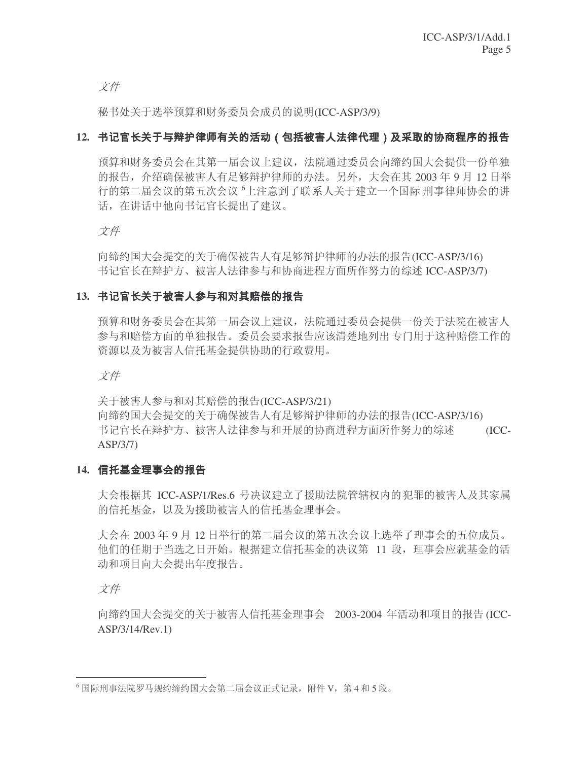立件

秘书处关于选举预算和财务委员会成员的说明(ICC-ASP/3/9)

# 12. 书记官长关于与辩护律师有关的活动(包括被害人法律代理)及采取的协商程序的报告

预算和财务委员会在其第一届会议上建议,法院通过委员会向缔约国大会提供一份单独 的报告, 介绍确保被害人有足够辩护律师的办法。另外, 大会在其 2003年9月12日举 行的第二届会议的第五次会议<sup>6</sup>上注意到了联系人关于建立一个国际 刑事律师协会的讲 话, 在讲话中他向书记官长提出了建议。

文件

向缔约国大会提交的关于确保被告人有足够辩护律师的办法的报告(ICC-ASP/3/16) 书记官长在辩护方、被害人法律参与和协商进程方面所作努力的综述 ICC-ASP/3/7)

# **13.**

预算和财务委员会在其第一届会议上建议,法院通过委员会提供一份关于法院在被害人 参与和赔偿方面的单独报告。委员会要求报告应该清楚地列出专门用于这种赔偿工作的 资源以及为被害人信托基金提供协助的行政费用。

文件

关于被害人参与和对其赔偿的报告(ICC-ASP/3/21) 向缔约国大会提交的关于确保被告人有足够辩护律师的办法的报告(ICC-ASP/3/16) 书记官长在辩护方、被害人法律参与和开展的协商进程方面所作努力的综述 (ICC-ASP/3/7)

# **14.**

大会根据其 ICC-ASP/1/Res.6 号决议建立了援助法院管辖权内的犯罪的被害人及其家属 的信托基金,以及为援助被害人的信托基金理事会。

大会在 2003年9月12日举行的第二届会议的第五次会议上选举了理事会的五位成员。 他们的任期于当选之日开始。根据建立信托基金的决议第 11 段, 理事会应就基金的活 动和项目向大会提出年度报告。

文件

向缔约国大会提交的关于被害人信托基金理事会 2003-2004 年活动和项目的报告 (ICC-ASP/3/14/Rev.1)

 $^6$ 国际刑事法院罗马规约缔约国大会第二届会议正式记录,附件 V,第4和5段。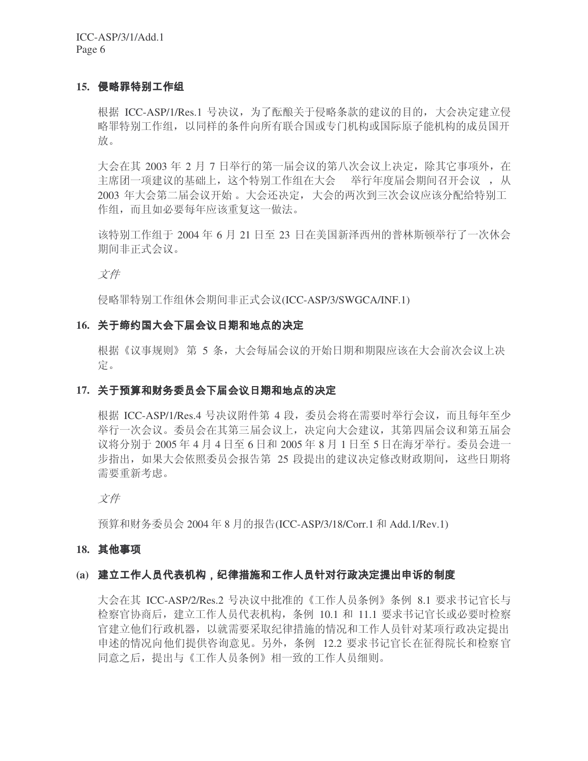ICC-ASP/3/1/Add.1 Page 6

# **15.**

根据 ICC-ASP/1/Res.1 号决议, 为了酝酿关于侵略条款的建议的目的, 大会决定建立侵 略罪特别工作组, 以同样的条件向所有联合国或专门机构或国际原子能机构的成员国开 放。

大会在其 2003 年 2 月 7 日举行的第一届会议的第八次会议上决定, 除其它事项外, 在 主席团一项建议的基础上, 这个特别工作组在大会 举行年度届会期间召开会议, 从 2003 年大会第二届会议开始。大会还决定,大会的两次到三次会议应该分配给特别工 作组, 而且如必要每年应该重复这一做法。

该特别工作组于 2004 年 6 月 21 日至 23 日在美国新泽西州的普林斯顿举行了一次休会 期间非正式会议。

文件

侵略罪特别工作组休会期间非正式会议(ICC-ASP/3/SWGCA/INF.1)

#### **16.**

根据《议事规则》第5条,大会每届会议的开始日期和期限应该在大会前次会议上决 定。

# 17. 关于预算和财务委员会下届会议日期和地点的决定

根据 ICC-ASP/1/Res.4 号决议附件第 4 段, 委员会将在需要时举行会议, 而且每年至少 举行一次会议。委员会在其第三届会议上,决定向大会建议,其第四届会议和第五届会 议将分别于 2005 年 4 月 4 日至 6 日和 2005 年 8 月 1 日至 5 日在海牙举行。委员会进一 步指出, 如果大会依照委员会报告第 25 段提出的建议决定修改财政期间, 这些日期将 需要重新考虑。

文件

预算和财务委员会 2004年8月的报告(ICC-ASP/3/18/Corr.1 和 Add.1/Rev.1)

#### **18.**

# **(a)**

大会在其 ICC-ASP/2/Res.2 号决议中批准的《工作人员条例》条例 8.1 要求书记官长与 检察官协商后,建立工作人员代表机构,条例 10.1 和 11.1 要求书记官长或必要时检察 官建立他们行政机器, 以就需要采取纪律措施的情况和工作人员针对某项行政决定提出 申述的情况向他们提供咨询意见。另外,条例 12.2 要求书记官长在征得院长和检察官 同意之后, 提出与《工作人员条例》相一致的工作人员细则。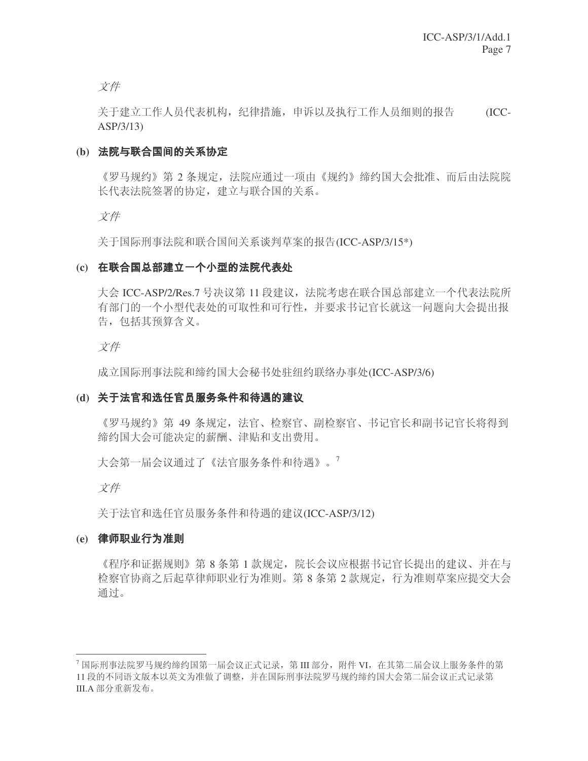立件

关于建立工作人员代表机构,纪律措施,申诉以及执行工作人员细则的报告 (ICC-ASP/3/13)

# **(b)**

《罗马规约》第2条规定,法院应通过一项由《规约》缔约国大会批准、而后由法院院 长代表法院签署的协定, 建立与联合国的关系。

文件

关于国际刑事法院和联合国间关系谈判草案的报告(ICC-ASP/3/15\*)

## **(c)**

大会 ICC-ASP/2/Res.7 号决议第 11 段建议, 法院考虑在联合国总部建立一个代表法院所 有部门的一个小型代表处的可取性和可行性,并要求书记官长就这一问题向大会提出报 告, 包括其预算含义。

文件

成立国际刑事法院和缔约国大会秘书处驻纽约联络办事处(ICC-ASP/3/6)

# **(d)**

《罗马规约》第49 条规定, 法官、检察官、副检察官、书记官长和副书记官长将得到 缔约国大会可能决定的薪酬、津贴和支出费用。

大会第一届会议通过了《法官服务条件和待遇》。<sup>7</sup>

文件

关于法官和选任官员服务条件和待遇的建议(ICC-ASP/3/12)

# **(e)**

《程序和证据规则》第8条第1款规定,院长会议应根据书记官长提出的建议、并在与 检察官协商之后起草律师职业行为准则。第8条第2款规定,行为准则草案应提交大会 通过。

 $^7$ 国际刑事法院罗马规约缔约国第一届会议正式记录,第 III 部分,附件 VI,在其第二届会议上服务条件的第 11 段的不同语文版本以英文为准做了调整, 并在国际刑事法院罗马规约缔约国大会第二届会议正式记录第 III.A 部分重新发布。